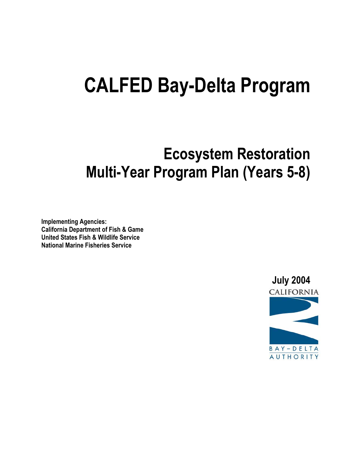# **CALFED Bay-Delta Program**

# **Ecosystem Restoration Multi-Year Program Plan (Years 5-8)**

**Implementing Agencies: California Department of Fish & Game United States Fish & Wildlife Service National Marine Fisheries Service**

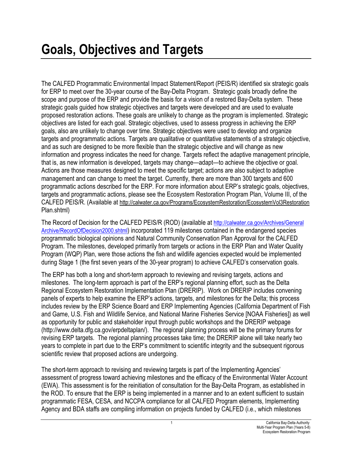The CALFED Programmatic Environmental Impact Statement/Report (PEIS/R) identified six strategic goals for ERP to meet over the 30-year course of the Bay-Delta Program. Strategic goals broadly define the scope and purpose of the ERP and provide the basis for a vision of a restored Bay-Delta system. These strategic goals guided how strategic objectives and targets were developed and are used to evaluate proposed restoration actions. These goals are unlikely to change as the program is implemented. Strategic objectives are listed for each goal. Strategic objectives, used to assess progress in achieving the ERP goals, also are unlikely to change over time. Strategic objectives were used to develop and organize targets and programmatic actions. Targets are qualitative or quantitative statements of a strategic objective, and as such are designed to be more flexible than the strategic objective and will change as new information and progress indicates the need for change. Targets reflect the adaptive management principle, that is, as new information is developed, targets may change—adapt—to achieve the objective or goal. Actions are those measures designed to meet the specific target; actions are also subject to adaptive management and can change to meet the target. Currently, there are more than 300 targets and 600 programmatic actions described for the ERP. For more information about ERP's strategic goals, objectives, targets and programmatic actions, please see the Ecosystem Restoration Program Plan, Volume III, of the CALFED PEIS/R. (Available at http://calwater.ca.gov/Programs/EcosystemRestoration/EcosystemVol3Restoration Plan.shtml)

The Record of Decision for the CALFED PEIS/R (ROD) (available at http://calwater.ca.gov/Archives/General Archive/RecordOfDecision2000.shtml) incorporated 119 milestones contained in the endangered species programmatic biological opinions and Natural Community Conservation Plan Approval for the CALFED Program. The milestones, developed primarily from targets or actions in the ERP Plan and Water Quality Program (WQP) Plan, were those actions the fish and wildlife agencies expected would be implemented during Stage 1 (the first seven years of the 30-year program) to achieve CALFED's conservation goals.

The ERP has both a long and short-term approach to reviewing and revising targets, actions and milestones. The long-term approach is part of the ERP's regional planning effort, such as the Delta Regional Ecosystem Restoration Implementation Plan (DRERIP). Work on DRERIP includes convening panels of experts to help examine the ERP's actions, targets, and milestones for the Delta; this process includes review by the ERP Science Board and ERP Implementing Agencies (California Department of Fish and Game, U.S. Fish and Wildlife Service, and National Marine Fisheries Service [NOAA Fisheries]) as well as opportunity for public and stakeholder input through public workshops and the DRERIP webpage (http://www.delta.dfg.ca.gov/erpdeltaplan/). The regional planning process will be the primary forums for revising ERP targets. The regional planning processes take time; the DRERIP alone will take nearly two years to complete in part due to the ERP's commitment to scientific integrity and the subsequent rigorous scientific review that proposed actions are undergoing.

The short-term approach to revising and reviewing targets is part of the Implementing Agencies' assessment of progress toward achieving milestones and the efficacy of the Environmental Water Account (EWA). This assessment is for the reinitiation of consultation for the Bay-Delta Program, as established in the ROD. To ensure that the ERP is being implemented in a manner and to an extent sufficient to sustain programmatic FESA, CESA, and NCCPA compliance for all CALFED Program elements, Implementing Agency and BDA staffs are compiling information on projects funded by CALFED (i.e., which milestones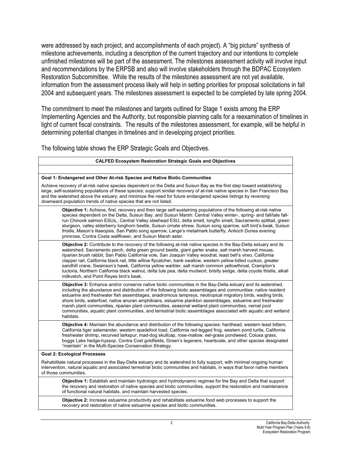were addressed by each project, and accomplishments of each project). A "big picture" synthesis of milestone achievements, including a description of the current trajectory and our intentions to complete unfinished milestones will be part of the assessment. The milestones assessment activity will involve input and recommendations by the ERPSB and also will involve stakeholders through the BDPAC Ecosystem Restoration Subcommittee. While the results of the milestones assessment are not yet available, information from the assessment process likely will help in setting priorities for proposal solicitations in fall 2004 and subsequent years. The milestones assessment is expected to be completed by late spring 2004.

The commitment to meet the milestones and targets outlined for Stage 1 exists among the ERP Implementing Agencies and the Authority, but responsible planning calls for a reexamination of timelines in light of current fiscal constraints. The results of the milestones assessment, for example, will be helpful in determining potential changes in timelines and in developing project priorities.

The following table shows the ERP Strategic Goals and Objectives.

| <b>CALFED Ecosystem Restoration Strategic Goals and Objectives</b>                                                                                                                                                                                                                                                                                                                                                                                                                                                                                                                                                                                                                                                                             |
|------------------------------------------------------------------------------------------------------------------------------------------------------------------------------------------------------------------------------------------------------------------------------------------------------------------------------------------------------------------------------------------------------------------------------------------------------------------------------------------------------------------------------------------------------------------------------------------------------------------------------------------------------------------------------------------------------------------------------------------------|
|                                                                                                                                                                                                                                                                                                                                                                                                                                                                                                                                                                                                                                                                                                                                                |
| Goal 1: Endangered and Other At-risk Species and Native Biotic Communities                                                                                                                                                                                                                                                                                                                                                                                                                                                                                                                                                                                                                                                                     |
| Achieve recovery of at-risk native species dependent on the Delta and Suisun Bay as the first step toward establishing<br>large, self-sustaining populations of these species; support similar recovery of at-risk native species in San Francisco Bay<br>and the watershed above the estuary; and minimize the need for future endangered species listings by reversing<br>downward population trends of native species that are not listed.                                                                                                                                                                                                                                                                                                  |
| Objective 1: Achieve, first, recovery and then large self-sustaining populations of the following at-risk native<br>species dependent on the Delta, Suisun Bay, and Suisun Marsh: Central Valley winter-, spring- and fall/late fall-<br>run Chinook salmon ESUs,, Central Valley steehead ESU, delta smelt, longfin smelt, Sacramento splittail, green<br>sturgeon, valley elderberry longhorn beetle, Suisun ornate shrew, Suisun song sparrow, soft bird's-beak, Suisun<br>thistle, Mason's lilaeopsis, San Pablo song sparrow, Lange's metalmark butterfly, Antioch Dunes evening<br>primrose, Contra Costa wallflower, and Suisun Marsh aster.                                                                                            |
| Objective 2: Contribute to the recovery of the following at-risk native species in the Bay-Delta estuary and its<br>watershed: Sacramento perch, delta green ground beetle, giant garter snake, salt marsh harvest mouse,<br>riparian brush rabbit, San Pablo California vole, San Joaquin Valley woodrat, least bell's vireo, California<br>clapper rail, California black rail, little willow flycatcher, bank swallow, western yellow-billed cuckoo, greater<br>sandhill crane, Swainson's hawk, California yellow warbler, salt marsh common yellowthroat, Crampton's<br>tuctoria, Northern California black walnut, delta tule pea, delta mudwort, bristly sedge, delta coyote thistle, alkali<br>milkvetch, and Point Reyes bird's beak. |
| Objective 3: Enhance and/or conserve native biotic communities in the Bay-Delta estuary and its watershed,<br>including the abundance and distribution of the following biotic assemblages and communities: native resident<br>estuarine and freshwater fish assemblages, anadromous lampreys, neotropical migratory birds, wading birds,<br>shore birds, waterfowl, native anuran amphibians, estuarine plankton assemblages, estuarine and freshwater<br>marsh plant communities, riparian plant communities, seasonal wetland plant communities, vernal pool<br>communities, aquatic plant communities, and terrestrial biotic assemblages associated with aquatic and wetland<br>habitats.                                                 |
| Objective 4: Maintain the abundance and distribution of the following species: hardhead, western least bittern,<br>California tiger salamander, western spadefoot toad, California red-legged frog, western pond turtle, California<br>freshwater shrimp, recurved larkspur, mad-dog skullcap, rose-mallow, eel-grass pondweed, Colusa grass,<br>boggs Lake hedge-hyssop, Contra Cost goldfields, Green's legenere, heartscale, and other species designated<br>"maintain" in the Multi-Species Conservation Strategy.                                                                                                                                                                                                                         |
| <b>Goal 2: Ecological Processes</b>                                                                                                                                                                                                                                                                                                                                                                                                                                                                                                                                                                                                                                                                                                            |
| Rehabilitate natural processes in the Bay-Delta estuary and its watershed to fully support, with minimal ongoing human<br>intervention, natural aquatic and associated terrestrial biotic communities and habitats, in ways that favor native members<br>of those communities.                                                                                                                                                                                                                                                                                                                                                                                                                                                                 |
| Objective 1: Establish and maintain hydrologic and hydrodynamic regimes for the Bay and Delta that support<br>the recovery and restoration of native species and biotic communities, support the restoration and maintenance<br>of functional natural habitats, and maintain harvested species.                                                                                                                                                                                                                                                                                                                                                                                                                                                |
| <b>Objective 2:</b> Increase estuarine productivity and rehabilitate estuarine food web processes to support the<br>recovery and restoration of native estuarine species and biotic communities.                                                                                                                                                                                                                                                                                                                                                                                                                                                                                                                                               |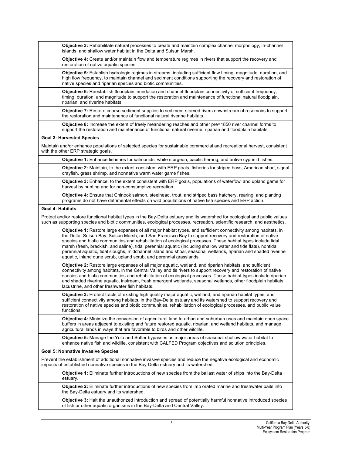|                         | Objective 3: Rehabilitate natural processes to create and maintain complex channel morphology, in-channel<br>islands, and shallow water habitat in the Delta and Suisun Marsh.                                                                                                                                                                                                                                                                                                                                                                                                                                                                         |
|-------------------------|--------------------------------------------------------------------------------------------------------------------------------------------------------------------------------------------------------------------------------------------------------------------------------------------------------------------------------------------------------------------------------------------------------------------------------------------------------------------------------------------------------------------------------------------------------------------------------------------------------------------------------------------------------|
|                         | Objective 4: Create and/or maintain flow and temperature regimes in rivers that support the recovery and<br>restoration of native aquatic species.                                                                                                                                                                                                                                                                                                                                                                                                                                                                                                     |
|                         | Objective 5: Establish hydrologic regimes in streams, including sufficient flow timing, magnitude, duration, and<br>high flow frequency, to maintain channel and sediment conditions supporting the recovery and restoration of<br>native species and riparian species and biotic communities.                                                                                                                                                                                                                                                                                                                                                         |
|                         | Objective 6: Reestablish floodplain inundation and channel-floodplain connectivity of sufficient frequency,<br>timing, duration, and magnitude to support the restoration and maintenance of functional natural floodplain,<br>riparian, and riverine habitats.                                                                                                                                                                                                                                                                                                                                                                                        |
|                         | Objective 7: Restore coarse sediment supplies to sediment-starved rivers downstream of reservoirs to support<br>the restoration and maintenance of functional natural riverine habitats.                                                                                                                                                                                                                                                                                                                                                                                                                                                               |
|                         | Objective 8: Increase the extent of freely meandering reaches and other pre=1850 river channel forms to<br>support the restoration and maintenance of functional natural riverine, riparian and floodplain habitats.                                                                                                                                                                                                                                                                                                                                                                                                                                   |
|                         | <b>Goal 3: Harvested Species</b>                                                                                                                                                                                                                                                                                                                                                                                                                                                                                                                                                                                                                       |
|                         | Maintain and/or enhance populations of selected species for sustainable commercial and recreational harvest, consistent<br>with the other ERP strategic goals.                                                                                                                                                                                                                                                                                                                                                                                                                                                                                         |
|                         | Objective 1: Enhance fisheries for salmonids, white sturgeon, pacific herring, and antive cyprinid fishes.                                                                                                                                                                                                                                                                                                                                                                                                                                                                                                                                             |
|                         | Objective 2: Maintain, to the extent consistent with ERP goals, fisheries for striped bass, American shad, signal<br>crayfish, grass shrimp, and nonnative warm water game fishes.                                                                                                                                                                                                                                                                                                                                                                                                                                                                     |
|                         | Objective 3: Enhance, to the extent consistent with ERP goals, populations of waterfowl and upland game for<br>harvest by hunting and for non-consumptive recreation.                                                                                                                                                                                                                                                                                                                                                                                                                                                                                  |
|                         | Objective 4: Ensure that Chinook salmon, steelhead, trout, and striped bass hatchery, rearing, and planting<br>programs do not have detrimental effects on wild populations of native fish species and ERP action.                                                                                                                                                                                                                                                                                                                                                                                                                                     |
| <b>Goal 4: Habitats</b> |                                                                                                                                                                                                                                                                                                                                                                                                                                                                                                                                                                                                                                                        |
|                         | Protect and/or restore functional habitat types in the Bay-Delta estuary and its watershed for ecological and public values<br>such as supporting species and biotic communities, ecological processes, recreation, scientific research, and aesthetics.                                                                                                                                                                                                                                                                                                                                                                                               |
|                         | Objective 1: Restore large expanses of all major habitat types, and sufficient connectivity among habitats, in<br>the Delta, Suisun Bay, Suisun Marsh, and San Francisco Bay to support recovery and restoration of native<br>species and biotic communities and rehabilitation of ecological processes. These habitat types include tidal<br>marsh (fresh, brackish, and saline), tidal perennial aquatic (including shallow water and tide flats), nontidal<br>perennial aquatic, tidal sloughs, midchannel island and shoal, seasonal wetlands, riparian and shaded riverine<br>aquatic, inland dune scrub, upland scrub, and perennial grasslands. |
|                         | Objective 2: Restore large expanses of all major aquatic, wetland, and riparian habitats, and sufficient<br>connectivity among habitats, in the Central Valley and tis rivers to support recovery and restoration of native<br>species and biotic communities and rehabilitation of ecological processes. These habitat types include riparian<br>and shaded riverine aquatic, instream, fresh emergent wetlands, seasonal wetlands, other floodplain habitats,<br>lacustrine, and other freshwater fish habitats.                                                                                                                                     |
|                         | Objective 3: Protect tracts of existing high quality major aquatic, wetland, and riparian habitat types, and<br>sufficient connectivity among habitats, in the Bay-Delta estuary and its watershed to support recovery and<br>restoration of native species and biotic communities, rehabilitation of ecological processes, and public value<br>functions.                                                                                                                                                                                                                                                                                             |
|                         | Objective 4: Minimize the conversion of agricultural land to urban and suburban uses and maintain open space<br>buffers in areas adjacent to existing and future restored aquatic, riparian, and wetland habitats, and manage<br>agricultural lands in ways that are favorable to birds and other wildlife.                                                                                                                                                                                                                                                                                                                                            |
|                         | <b>Objective 5:</b> Manage the Yolo and Sutter bypasses as major areas of seasonal shallow water habitat to<br>enhance native fish and wildlife, consistent with CALFED Program objectives and solution principles.                                                                                                                                                                                                                                                                                                                                                                                                                                    |
|                         | <b>Goal 5: Nonnative Invasive Species</b>                                                                                                                                                                                                                                                                                                                                                                                                                                                                                                                                                                                                              |
|                         | Prevent the establishment of additional nonnative invasive species and reduce the negative ecological and economic<br>impacts of established nonnative species in the Bay-Delta estuary and its watershed.                                                                                                                                                                                                                                                                                                                                                                                                                                             |
|                         | <b>Objective 1:</b> Eliminate further introductions of new species from the ballast water of ships into the Bay-Delta<br>estuary.                                                                                                                                                                                                                                                                                                                                                                                                                                                                                                                      |
|                         | Objective 2: Eliminate further introductions of new species from imp orated marine and freshwater baits into<br>the Bay-Delta estuary and its watershed.                                                                                                                                                                                                                                                                                                                                                                                                                                                                                               |
|                         | Objective 3: Halt the unauthorized introduction and spread of potentially harmful nonnative introduced species<br>of fish or other aquatic organisms in the Bay-Delta and Central Valley.                                                                                                                                                                                                                                                                                                                                                                                                                                                              |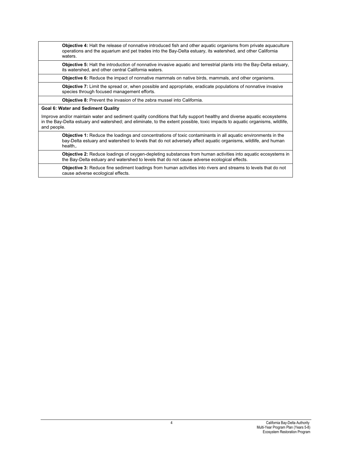| <b>Objective 4:</b> Halt the release of nonnative introduced fish and other aguatic organisms from private aguaculture |
|------------------------------------------------------------------------------------------------------------------------|
| operations and the aguarium and pet trades into the Bay-Delta estuary, its watershed, and other California             |
| waters.                                                                                                                |

**Objective 5:** Halt the introduction of nonnative invasive aquatic and terrestrial plants into the Bay-Delta estuary, its watershed, and other central California waters.

**Objective 6:** Reduce the impact of nonnative mammals on native birds, mammals, and other organisms.

**Objective 7:** Limit the spread or, when possible and appropriate, eradicate populations of nonnative invasive species through focused management efforts.

**Objective 8:** Prevent the invasion of the zebra mussel into California.

#### **Goal 6: Water and Sediment Quality**

Improve and/or maintain water and sediment quality conditions that fully support healthy and diverse aquatic ecosystems in the Bay-Delta estuary and watershed; and eliminate, to the extent possible, toxic impacts to aquatic organisms, wildlife, and people.

**Objective 1:** Reduce the loadings and concentrations of toxic contaminants in all aquatic environments in the bay-Delta estuary and watershed to levels that do not adversely affect aquatic organisms, wildlife, and human health,.

**Objective 2:** Reduce loadings of oxygen-depleting substances from human activities into aquatic ecosystems in the Bay-Delta estuary and watershed to levels that do not cause adverse ecological effects.

**Objective 3:** Reduce fine sediment loadings from human activities into rivers and streams to levels that do not cause adverse ecological effects.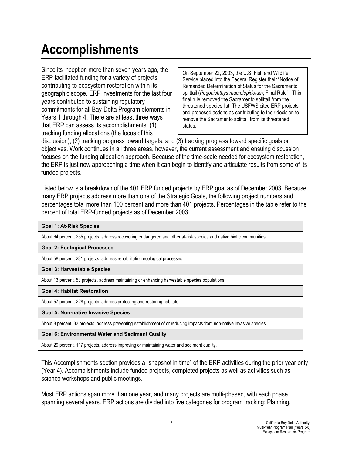# **Accomplishments**

Since its inception more than seven years ago, the ERP facilitated funding for a variety of projects contributing to ecosystem restoration within its geographic scope. ERP investments for the last four years contributed to sustaining regulatory commitments for all Bay-Delta Program elements in Years 1 through 4. There are at least three ways that ERP can assess its accomplishments: (1) tracking funding allocations (the focus of this

On September 22, 2003, the U.S. Fish and Wildlife Service placed into the Federal Register their "Notice of Remanded Determination of Status for the Sacramento splittail (*Pogonichthys macrolepidotus*); Final Rule". This final rule removed the Sacramento splittail from the threatened species list. The USFWS cited ERP projects and proposed actions as contributing to their decision to remove the Sacramento splittail from its threatened status.

discussion); (2) tracking progress toward targets; and (3) tracking progress toward specific goals or objectives. Work continues in all three areas, however, the current assessment and ensuing discussion focuses on the funding allocation approach. Because of the time-scale needed for ecosystem restoration, the ERP is just now approaching a time when it can begin to identify and articulate results from some of its funded projects.

Listed below is a breakdown of the 401 ERP funded projects by ERP goal as of December 2003. Because many ERP projects address more than one of the Strategic Goals, the following project numbers and percentages total more than 100 percent and more than 401 projects. Percentages in the table refer to the percent of total ERP-funded projects as of December 2003.

## **Goal 1: At-Risk Species**

About 64 percent, 255 projects, address recovering endangered and other at-risk species and native biotic communities.

## **Goal 2: Ecological Processes**

About 58 percent, 231 projects, address rehabilitating ecological processes.

## **Goal 3: Harvestable Species**

About 13 percent, 53 projects, address maintaining or enhancing harvestable species populations.

## **Goal 4: Habitat Restoration**

About 57 percent, 228 projects, address protecting and restoring habitats.

## **Goal 5: Non-native Invasive Species**

About 8 percent, 33 projects, address preventing establishment of or reducing impacts from non-native invasive species.

## **Goal 6: Environmental Water and Sediment Quality**

About 29 percent, 117 projects, address improving or maintaining water and sediment quality.

This Accomplishments section provides a "snapshot in time" of the ERP activities during the prior year only (Year 4). Accomplishments include funded projects, completed projects as well as activities such as science workshops and public meetings.

Most ERP actions span more than one year, and many projects are multi-phased, with each phase spanning several years. ERP actions are divided into five categories for program tracking: Planning,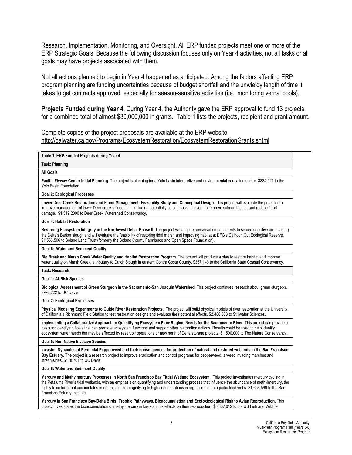Research, Implementation, Monitoring, and Oversight. All ERP funded projects meet one or more of the ERP Strategic Goals. Because the following discussion focuses only on Year 4 activities, not all tasks or all goals may have projects associated with them.

Not all actions planned to begin in Year 4 happened as anticipated. Among the factors affecting ERP program planning are funding uncertainties because of budget shortfall and the unwieldy length of time it takes to get contracts approved, especially for season-sensitive activities (i.e., monitoring vernal pools).

**Projects Funded during Year 4**. During Year 4, the Authority gave the ERP approval to fund 13 projects, for a combined total of almost \$30,000,000 in grants. Table 1 lists the projects, recipient and grant amount.

Complete copies of the project proposals are available at the ERP website http://calwater.ca.gov/Programs/EcosystemRestoration/EcosystemRestorationGrants.shtml

| Table 1. ERP-Funded Projects during Year 4                                                                                                                                                                                                                                                                                                                                                                                                                                      |
|---------------------------------------------------------------------------------------------------------------------------------------------------------------------------------------------------------------------------------------------------------------------------------------------------------------------------------------------------------------------------------------------------------------------------------------------------------------------------------|
| <b>Task: Planning</b>                                                                                                                                                                                                                                                                                                                                                                                                                                                           |
| All Goals                                                                                                                                                                                                                                                                                                                                                                                                                                                                       |
| Pacific Flyway Center Initial Planning. The project is planning for a Yolo basin interpretive and environmental education center. \$334,021 to the<br>Yolo Basin Foundation.                                                                                                                                                                                                                                                                                                    |
| <b>Goal 2: Ecological Processes</b>                                                                                                                                                                                                                                                                                                                                                                                                                                             |
| Lower Deer Creek Restoration and Flood Management: Feasibility Study and Conceptual Design. This project will evaluate the potential to<br>improve management of lower Deer creek's floodplain, including potentially setting back its levee, to improve salmon habitat and reduce flood<br>damage. \$1,519,2000 to Deer Creek Watershed Conservancy.                                                                                                                           |
| <b>Goal 4: Habitat Restoration</b>                                                                                                                                                                                                                                                                                                                                                                                                                                              |
| Restoring Ecosystem Integrity in the Northwest Delta: Phase II. The project will acquire conservation easements to secure sensitive areas along<br>the Delta's Barker slough and will evaluate the feasibility of restoring tidal marsh and improving habitat at DFG's Calhoun Cut Ecological Reserve.<br>\$1,563,506 to Solano Land Trust (formerly the Solano County Farmlands and Open Space Foundation).                                                                    |
| Goal 6: Water and Sediment Quality                                                                                                                                                                                                                                                                                                                                                                                                                                              |
| Big Break and Marsh Creek Water Quality and Habitat Restoration Program. The project will produce a plan to restore habitat and improve<br>water quality on Marsh Creek, a tributary to Dutch Slough in eastern Contra Costa County. \$357,146 to the California State Coastal Conservancy.                                                                                                                                                                                     |
| <b>Task: Research</b>                                                                                                                                                                                                                                                                                                                                                                                                                                                           |
| Goal 1: At-Risk Species                                                                                                                                                                                                                                                                                                                                                                                                                                                         |
| Biological Assessment of Green Sturgeon in the Sacramento-San Joaquin Watershed. This project continues research about green sturgeon.<br>\$998,222 to UC Davis.                                                                                                                                                                                                                                                                                                                |
| <b>Goal 2: Ecological Processes</b>                                                                                                                                                                                                                                                                                                                                                                                                                                             |
| Physical Modeling Experiments to Guide River Restoration Projects. The project will build physical models of river restoration at the University<br>of California's Richmond Field Station to test restoration designs and evaluate their potential effects. \$2,488,033 to Stillwater Sciences.                                                                                                                                                                                |
| Implementing a Collaborative Approach to Quantifying Ecosystem Flow Regime Needs for the Sacramento River. This project can provide a<br>basis for identifying flows that can promote ecosystem functions and support other restoration actions. Results could be used to help identify<br>ecosystem water needs tha may be affected by reservoir operations or new north of Delta storage projects. \$1,500,000 to The Nature Conservancy.                                     |
| <b>Goal 5: Non-Native Invasive Species</b>                                                                                                                                                                                                                                                                                                                                                                                                                                      |
| Invasion Dynamics of Perennial Pepperweed and their consequences for protection of natural and restored wetlands in the San Francisco<br>Bay Estuary. The project is a research project to improve eradication and control programs for pepperweed, a weed invading marshes and<br>streamsides. \$178,701 to UC Davis.                                                                                                                                                          |
| <b>Goal 6: Water and Sediment Quality</b>                                                                                                                                                                                                                                                                                                                                                                                                                                       |
| Mercury and Methylmercury Processes in North San Francisco Bay Titdal Wetland Ecosystem. This project investigates mercury cycling in<br>the Petaluma River's tidal wetlands, with an emphasis on quantifying and understanding process that influence the abundance of methylmercury, the<br>highly toxic form that accumulates in organisms, biomagnifying to high concentrations in organisms atop aquatic food webs. \$1,656,569 to the San<br>Francisco Estuary Institute. |
| Mercury in San Francisco Bay-Delta Birds: Trophic Pathyways, Bioaccumulation and Ecotoxicological Risk to Avian Reproduction. This<br>project investigates the bioaccumulation of methylmercury in birds and its effects on their reproduction. \$5,337,012 to the US Fish and Wildlife                                                                                                                                                                                         |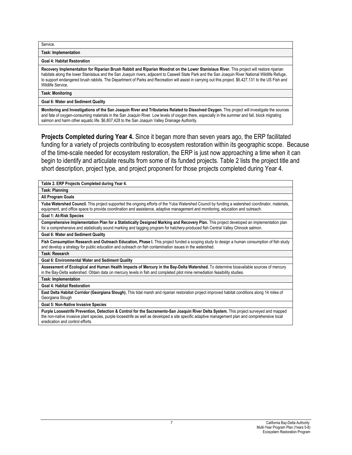Service.

**Task: Implementation** 

#### **Goal 4: Habitat Restoration**

**Recovery Implementaiton for Riparian Brush Rabbit and Riparian Woodrat on the Lower Stanislaus River.** This project will restore riparian habitats along the lower Stanislaus and the San Joaquin rivers, adjacent to Caswell State Park and the San Joaquin River National Wildlife Refuge, to support endangered brush rabbits. The Department of Parks and Recreation will assist in carrying out this project. \$6,427,131 to the US Fish and Wildlife Service.

#### **Task: Monitoring**

#### **Goal 6: Water and Sediment Quality**

**Monitoring and Investigations of the San Joaquin River and Tributaries Related to Dissolved Oxygen.** This project will investigate the sources and fate of oxygen-consuming materials in the San Joaquin River. Low levels of oxygen there, especially in the summer and fall, block migrating salmon and harm other aquatic life. \$6,807,428 to the San Joaquin Valley Drainage Authority.

**Projects Completed during Year 4.** Since it began more than seven years ago, the ERP facilitated funding for a variety of projects contributing to ecosystem restoration within its geographic scope. Because of the time-scale needed for ecosystem restoration, the ERP is just now approaching a time when it can begin to identify and articulate results from some of its funded projects. Table 2 lists the project title and short description, project type, and project proponent for those projects completed during Year 4.

| Table 2. ERP Projects Completed during Year 4.                                                                                                                                                                                                                                     |
|------------------------------------------------------------------------------------------------------------------------------------------------------------------------------------------------------------------------------------------------------------------------------------|
| Task: Planning                                                                                                                                                                                                                                                                     |
| <b>All Program Goals</b>                                                                                                                                                                                                                                                           |
| Yuba Watershed Council. This project supported the ongoing efforts of the Yuba Watershed Council by funding a watershed coordinator, materials,<br>equipment, and office space to provide coordination and assistance, adaptive management and monitoring, education and outreach. |
| <b>Goal 1: At-Risk Species</b>                                                                                                                                                                                                                                                     |
| Comprehensive Implementation Plan for a Statistically Designed Marking and Recovery Plan. This project developed an implementation plan<br>for a comprehensive and statistically sound marking and tagging program for hatchery-produced fish Central Valley Chinook salmon.       |
| Goal 6: Water and Sediment Quality                                                                                                                                                                                                                                                 |
| Fish Consumption Research and Outreach Education, Phase I. This project funded a scoping study to design a human consumption of fish study<br>and develop a strategy for public education and outreach on fish contamination issues in the watershed.                              |
| Task: Research                                                                                                                                                                                                                                                                     |
| <b>Goal 6: Environmental Water and Sediment Quality</b>                                                                                                                                                                                                                            |
| Assessment of Ecological and Human Health Impacts of Mercury in the Bay-Delta Watershed. To determine bioavailable sources of mercury<br>in the Bay-Delta watershed. Obtain data on mercury levels in fish and completed pilot mine remediation feasibility studies.               |
| <b>Task: Implementation</b>                                                                                                                                                                                                                                                        |
| <b>Goal 4: Habitat Restoration</b>                                                                                                                                                                                                                                                 |
| East Delta Habitat Corridor (Georgiana Slough). This tidal marsh and riparian restoration project improved habitat conditions along 14 miles of<br>Georgiana Slough                                                                                                                |
| <b>Goal 5: Non-Native Invasive Species</b>                                                                                                                                                                                                                                         |
| <b>Durnle Lococetrife Provention, Detection &amp; Control for the Secretary Can Jegguin Piver Delta System</b> , This project surveyed and manned                                                                                                                                  |

**Purple Loosestrife Prevention, Detection & Control for the Sacramento-San Joaquin River Delta System.** This project surveyed and mapped the non-native invasive plant species, purple loosestrife as well as developed a site specific adaptive management plan and comprehensive local eradication and control efforts.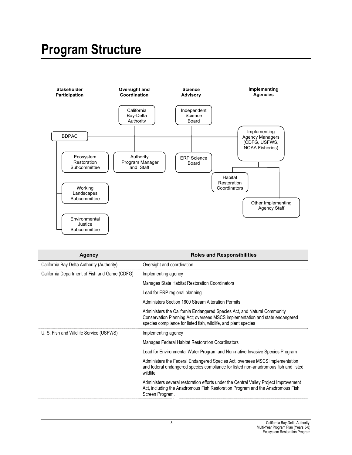# **Program Structure**



| <b>Agency</b>                                 | <b>Roles and Responsibilities</b>                                                                                                                                                                                           |
|-----------------------------------------------|-----------------------------------------------------------------------------------------------------------------------------------------------------------------------------------------------------------------------------|
| California Bay Delta Authority (Authority)    | Oversight and coordination                                                                                                                                                                                                  |
| California Department of Fish and Game (CDFG) | Implementing agency                                                                                                                                                                                                         |
|                                               | Manages State Habitat Restoration Coordinators                                                                                                                                                                              |
|                                               | Lead for ERP regional planning                                                                                                                                                                                              |
|                                               | Administers Section 1600 Stream Alteration Permits                                                                                                                                                                          |
|                                               | Administers the California Endangered Species Act, and Natural Community<br>Conservation Planning Act; oversees MSCS implementation and state endangered<br>species compliance for listed fish, wildlife, and plant species |
| U. S. Fish and Wildlife Service (USFWS)       | Implementing agency                                                                                                                                                                                                         |
|                                               | <b>Manages Federal Habitat Restoration Coordinators</b>                                                                                                                                                                     |
|                                               | Lead for Environmental Water Program and Non-native Invasive Species Program                                                                                                                                                |
|                                               | Administers the Federal Endangered Species Act, oversees MSCS implementation<br>and federal endangered species compliance for listed non-anadromous fish and listed<br>wildlife                                             |
|                                               | Administers several restoration efforts under the Central Valley Project Improvement<br>Act, including the Anadromous Fish Restoration Program and the Anadromous Fish<br>Screen Program.                                   |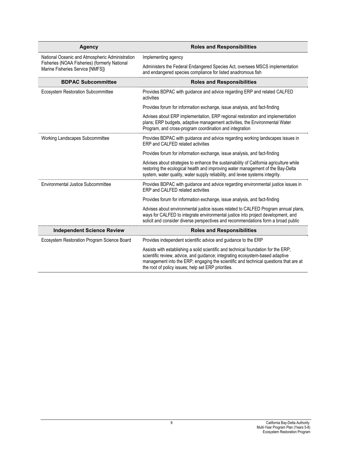| Agency                                                                            | <b>Roles and Responsibilities</b>                                                                                                                                                                                                                                                                                  |
|-----------------------------------------------------------------------------------|--------------------------------------------------------------------------------------------------------------------------------------------------------------------------------------------------------------------------------------------------------------------------------------------------------------------|
| National Oceanic and Atmospheric Administration                                   | Implementing agency                                                                                                                                                                                                                                                                                                |
| Fisheries (NOAA Fisheries) (formerly National<br>Marine Fisheries Service [NMFS]) | Administers the Federal Endangered Species Act, oversees MSCS implementation<br>and endangered species compliance for listed anadromous fish                                                                                                                                                                       |
| <b>BDPAC Subcommittee</b>                                                         | <b>Roles and Responsibilities</b>                                                                                                                                                                                                                                                                                  |
| Ecosystem Restoration Subcommittee                                                | Provides BDPAC with guidance and advice regarding ERP and related CALFED<br>activities                                                                                                                                                                                                                             |
|                                                                                   | Provides forum for information exchange, issue analysis, and fact-finding                                                                                                                                                                                                                                          |
|                                                                                   | Advises about ERP implementation, ERP regional restoration and implementation<br>plans; ERP budgets, adaptive management activities, the Environmental Water<br>Program, and cross-program coordination and integration                                                                                            |
| Working Landscapes Subcommittee                                                   | Provides BDPAC with guidance and advice regarding working landscapes issues in<br>ERP and CALFED related activities                                                                                                                                                                                                |
|                                                                                   | Provides forum for information exchange, issue analysis, and fact-finding                                                                                                                                                                                                                                          |
|                                                                                   | Advises about strategies to enhance the sustainability of California agriculture while<br>restoring the ecological health and improving water management of the Bay-Delta<br>system, water quality, water supply reliability, and levee systems integrity.                                                         |
| Environmental Justice Subcommittee                                                | Provides BDPAC with guidance and advice regarding environmental justice issues in<br>FRP and CALFED related activities                                                                                                                                                                                             |
|                                                                                   | Provides forum for information exchange, issue analysis, and fact-finding                                                                                                                                                                                                                                          |
|                                                                                   | Advises about environmental justice issues related to CALFED Program annual plans,<br>ways for CALFED to integrate environmental justice into project development, and<br>solicit and consider diverse perspectives and recommendations form a broad public                                                        |
| <b>Independent Science Review</b>                                                 | <b>Roles and Responsibilities</b>                                                                                                                                                                                                                                                                                  |
| Ecosystem Restoration Program Science Board                                       | Provides independent scientific advice and guidance to the ERP                                                                                                                                                                                                                                                     |
|                                                                                   | Assists with establishing a solid scientific and technical foundation for the ERP;<br>scientific review, advice, and guidance; integrating ecosystem-based adaptive<br>management into the ERP; engaging the scientific and technical questions that are at<br>the root of policy issues; help set ERP priorities. |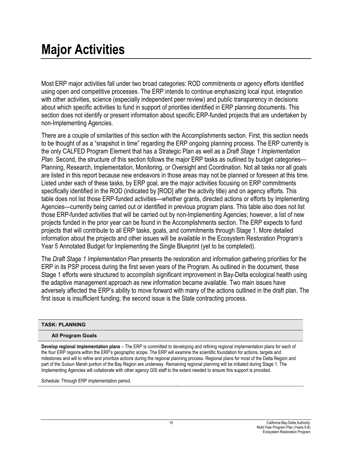# **Major Activities**

Most ERP major activities fall under two broad categories: ROD commitments or agency efforts identified using open and competitive processes. The ERP intends to continue emphasizing local input, integration with other activities, science (especially independent peer review) and public transparency in decisions about which specific activities to fund in support of priorities identified in ERP planning documents. This section does not identify or present information about specific ERP-funded projects that are undertaken by non-Implementing Agencies.

There are a couple of similarities of this section with the Accomplishments section. First, this section needs to be thought of as a "snapshot in time" regarding the ERP ongoing planning process. The ERP currently is the only CALFED Program Element that has a Strategic Plan as well as a *Draft Stage 1 Implementation Plan*. Second, the structure of this section follows the major ERP tasks as outlined by budget categories— Planning, Research, Implementation, Monitoring, or Oversight and Coordination. Not all tasks nor all goals are listed in this report because new endeavors in those areas may not be planned or foreseen at this time. Listed under each of these tasks, by ERP goal, are the major activities focusing on ERP commitments specifically identified in the ROD (indicated by [ROD] after the activity title) and on agency efforts. This table does not list those ERP-funded activities—whether grants, directed actions or efforts by Implementing Agencies—currently being carried out or identified in previous program plans. This table also does not list those ERP-funded activities that will be carried out by non-Implementing Agencies; however, a list of new projects funded in the prior year can be found in the Accomplishments section. The ERP expects to fund projects that will contribute to all ERP tasks, goals, and commitments through Stage 1. More detailed information about the projects and other issues will be available in the Ecosystem Restoration Program's Year 5 Annotated Budget for Implementing the Single Blueprint (yet to be completed).

The *Draft Stage 1 Implementation Plan* presents the restoration and information gathering priorities for the ERP in its PSP process during the first seven years of the Program. As outlined in the document, these Stage 1 efforts were structured to accomplish significant improvement in Bay-Delta ecological health using the adaptive management approach as new information became available. Two main issues have adversely affected the ERP's ability to move forward with many of the actions outlined in the draft plan. The first issue is insufficient funding; the second issue is the State contracting process.

#### **TASK: PLANNING**

#### **All Program Goals**

**Develop regional implementation plans** – The ERP is committed to developing and refining regional implementation plans for each of the four ERP regions within the ERP's geographic scope. The ERP will examine the scientific foundation for actions, targets and milestones and will to refine and prioritize actions during the regional planning process. Regional plans for most of the Delta Region and part of the Suisun Marsh portion of the Bay Region are underway. Remaining regional planning will be initiated during Stage 1. The Implementing Agencies will collaborate with other agency GIS staff to the extent needed to ensure this support is provided.

Schedule: Through ERP implementation period.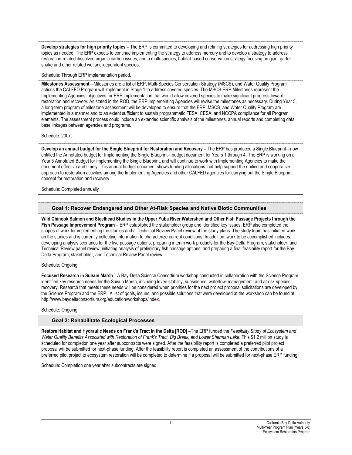**Develop strategies for high priority topics –** The ERP is committed to developing and refining strategies for addressing high priority topics as needed. The ERP expects to continue implementing the strategy to address mercury and to develop a strategy to address restoration-related dissolved organic carbon issues, and a multi-species, habitat-based conservation strategy focusing on giant garter snake and other related wetland-dependent species.

#### Schedule: Through ERP implementation period.

**Milestones Assessment**—Milestones are a list of ERP, Multi-Species Conservation Strategy (MSCS), and Water Quality Program actions the CALFED Program will implement in Stage 1 to address covered species. The MSCS-ERP Milestones represent the Implementing Agencies' objectives for ERP implementation that would allow covered species to make significant progress toward restoration and recovery. As stated in the ROD, the ERP Implementing Agencies will revise the milestones as necessary. During Year 5, a long-term program of milestone assessment will be developed to ensure that the ERP, MSCS, and Water Quality Program are implemented in a manner and to an extent sufficient to sustain programmatic FESA, CESA, and NCCPA compliance for all Program elements. The assessment process could include an extended scientific analysis of the milestones, annual reports and completing data base linkages between agencies and programs.

#### Schedule: 2007.

**Develop an annual budget for the Single Blueprint for Restoration and Recovery –** The ERP has produced a Single Blueprint—now entitled the Annotated budget for Implementing the Single Blueprint—budget document for Years 1 through 4. The ERP is working on a Year 5 Annotated Budget for Implementing the Single Blueprint, and will continue to work with Implementing Agencies to make the document effective and timely. This annual budget document shows funding allocations that help support the unified and cooperative approach to restoration activities among the Implementing Agencies and other CALFED agencies for carrying out the Single Blueprint concept for restoration and recovery.

Schedule: Completed annually

#### **Goal 1: Recover Endangered and Other At-Risk Species and Native Biotic Communities**

**Wild Chinook Salmon and Steelhead Studies in the Upper Yuba River Watershed and Other Fish Passage Projects through the Fish Passage Improvement Program** – ERP established the stakeholder group and identified key issues. ERP also completed the scopes of work for implementing the studies and a Technical Review Panel review of the study plans. The study team has initiated work on the studies and is currently collecting information to characterize current conditions. In addition, work to be accomplished includes: developing analysis scenarios for the five passage options; preparing interim work products for the Bay-Delta Program, stakeholder, and Technical Review panel review; initiating analysis of preliminary fish passage options; and preparing a final feasibility report for the Bay-Delta Program, stakeholder, and Technical Review Panel review.

#### Schedule: Ongoing

**Focused Research in Suisun Marsh**—A Bay-Delta Science Consortium workshop conducted in collaboration with the Science Program identified key research needs for the Suisun Marsh, including levee stability, subsidence, waterfowl management, and at-risk species recovery. Research that meets these needs will be considered when priorities for the next project proposal solicitations are developed by the Science Program and the ERP. A list of goals, issues, and possible solutions that were developed at the workshop can be found at http://www.baydeltaconsortium.org/education/workshops/index.

#### Schedule: Ongoing

#### **Goal 2: Rehabilitate Ecological Processes**

**Restore Habitat and Hydraulic Needs on Frank's Tract in the Delta [ROD]** –The ERP funded the *Feasibility Study of Ecosystem and Water Quality Benefits Associated with Restoration of Frank's Tract, Big Break, and Lower Sherman Lake*. This \$1.2 million study is scheduled for completion one year after subcontracts were signed. After the feasibility report is completed a preferred pilot project proposal will be submitted for next-phase funding. After the feasibility report is completed an assessment of the contributions of a preferred pilot project to ecosystem restoration will be completed to determine if a proposal will be submitted for next-phase ERP funding**.**

Schedule: Completion one year after subcontracts are signed.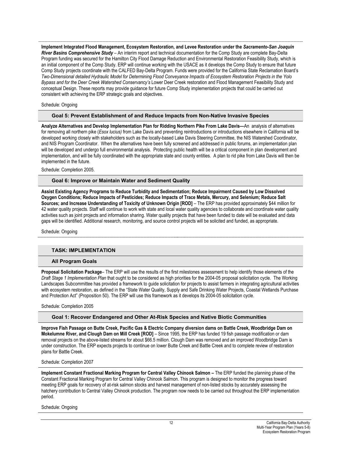**Implement Integrated Flood Management, Ecosystem Restoration, and Levee Restoration under the** *Sacramento-San Joaquin River Basins Comprehensive Study* – An interim report and technical documentation for the Comp Study are complete Bay-Delta Program funding was secured for the Hamilton City Flood Damage Reduction and Environmental Restoration Feasibility Study, which is an initial component of the Comp Study. ERP will continue working with the USACE as it develops the Comp Study to ensure that future Comp Study projects coordinate with the CALFED Bay-Delta Program. Funds were provided for the California State Reclamation Board's *Two-Dimensional detailed Hydraulic Model for Determining Flood Conveyance Impacts of Ecosystem Restoration Projects in the Yolo Bypass and for the Deer Creek Watershed Conservancy's* Lower Deer Creek restoration and Flood Management Feasibility Study and conceptual Design. These reports may provide guidance for future Comp Study implementation projects that could be carried out consistent with achieving the ERP strategic goals and objectives.

#### Schedule: Ongoing

#### **Goal 5: Prevent Establishment of and Reduce Impacts from Non-Native Invasive Species**

**Analyze Alternatives and Develop Implementation Plan for Ridding Northern Pike From Lake Davis—**An analysis of alternatives for removing all northern pike (*Esox lucius)* from Lake Davis and preventing reintroductions or introductions elsewhere in California will be developed working closely with stakeholders such as the locally-based Lake Davis Steering Committee, the NIS Watershed Coordinator, and NIS Program Coordinator. When the alternatives have been fully screened and addressed in public forums, an implementation plan will be developed and undergo full environmental analysis. Protecting public health will be a critical component in plan development and implementation, and will be fully coordinated with the appropriate state and county entities. A plan to rid pike from Lake Davis will then be implemented in the future.

Schedule: Completion 2005.

#### **Goal 6: Improve or Maintain Water and Sediment Quality**

**Assist Existing Agency Programs to Reduce Turbidity and Sedimentation; Reduce Impairment Caused by Low Dissolved Oxygen Conditions; Reduce Impacts of Pesticides; Reduce Impacts of Trace Metals, Mercury, and Selenium; Reduce Salt Sources; and Increase Understanding of Toxicity of Unknown Origin [ROD]** – The ERP has provided approximately \$44 million for 42 water quality projects. Staff will continue to work with state and local water quality agencies to collaborate and coordinate water quality activities such as joint projects and information sharing. Water quality projects that have been funded to date will be evaluated and data gaps will be identified. Additional research, monitoring, and source control projects will be solicited and funded, as appropriate.

Schedule: Ongoing

#### **TASK: IMPLEMENTATION**

#### **All Program Goals**

**Proposal Solicitation Package**– The ERP will use the results of the first milestones assessment to help identify those elements of the *Draft Stage 1 Implementation Plan* that ought to be considered as high priorities for the 2004-05 proposal solicitation cycle. The Working Landscapes Subcommittee has provided a framework to guide solicitation for projects to assist farmers in integrating agricultural activities with ecosystem restoration, as defined in the "State Water Quality, Supply and Safe Drinking Water Projects, Coastal Wetlands Purchase and Protection Act" (Proposition 50). The ERP will use this framework as it develops its 2004-05 solicitation cycle.

Schedule: Completion 2005

#### **Goal 1: Recover Endangered and Other At-Risk Species and Native Biotic Communities**

**Improve Fish Passage on Butte Creek, Pacific Gas & Electric Company diversion dams on Battle Creek, Woodbridge Dam on Mokelumne River, and Clough Dam on Mill Creek [ROD]** – Since 1995, the ERP has funded 19 fish passage modification or dam removal projects on the above-listed streams for about \$66.5 million. Clough Dam was removed and an improved Woodbridge Dam is under construction. The ERP expects projects to continue on lower Butte Creek and Battle Creek and to complete review of restoration plans for Battle Creek.

Schedule: Completion 2007

**Implement Constant Fractional Marking Program for Central Valley Chinook Salmon – The ERP funded the planning phase of the** Constant Fractional Marking Program for Central Valley Chinook Salmon. This program is designed to monitor the progress toward meeting ERP goals for recovery of at-risk salmon stocks and harvest management of non-listed stocks by accurately assessing the hatchery contribution to Central Valley Chinook production. The program now needs to be carried out throughout the ERP implementation period.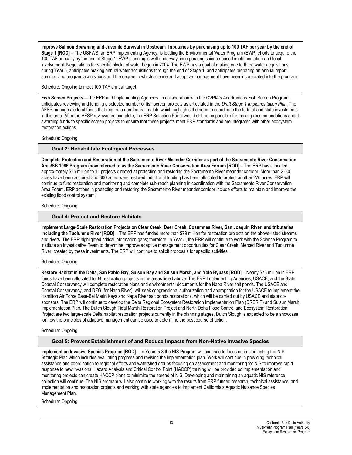**Improve Salmon Spawning and Juvenile Survival in Upstream Tributaries by purchasing up to 100 TAF per year by the end of Stage 1 [ROD]** – The USFWS, an ERP Implementing Agency, is leading the Environmental Water Program (EWP) efforts to acquire the 100 TAF annually by the end of Stage 1. EWP planning is well underway, incorporating science-based implementation and local involvement. Negotiations for specific blocks of water began in 2004. The EWP has a goal of making one to three water acquisitions during Year 5, anticipates making annual water acquisitions through the end of Stage 1, and anticipates preparing an annual report summarizing program acquisitions and the degree to which science and adaptive management have been incorporated into the program.

#### Schedule: Ongoing to meet 100 TAF annual target

**Fish Screen Projects**—The ERP and Implementing Agencies, in collaboration with the CVPIA's Anadromous Fish Screen Program, anticipates reviewing and funding a selected number of fish screen projects as articulated in the *Draft Stage 1 Implementation Plan*. The AFSP manages federal funds that require a non-federal match, which highlights the need to coordinate the federal and state investments in this area. After the AFSP reviews are complete, the ERP Selection Panel would still be responsible for making recommendations about awarding funds to specific screen projects to ensure that these projects meet ERP standards and are integrated with other ecosystem restoration actions.

#### Schedule: Ongoing

#### **Goal 2: Rehabilitate Ecological Processes**

**Complete Protection and Restoration of the Sacramento River Meander Corridor as part of the Sacramento River Conservation Area/SB 1086 Program (now referred to as the Sacramento River Conservation Area Forum) [ROD]** – The ERP has allocated approximately \$25 million to 11 projects directed at protecting and restoring the Sacramento River meander corridor. More than 2,000 acres have been acquired and 300 acres were restored; additional funding has been allocated to protect another 270 acres. ERP will continue to fund restoration and monitoring and complete sub-reach planning in coordination with the Sacramento River Conservation Area Forum. ERP actions in protecting and restoring the Sacramento River meander corridor include efforts to maintain and improve the existing flood control system.

#### Schedule: Ongoing

#### **Goal 4: Protect and Restore Habitats**

**Implement Large-Scale Restoration Projects on Clear Creek, Deer Creek, Cosumnes River, San Joaquin River, and tributaries including the Tuolumne River [ROD]** – The ERP has funded more than \$79 million for restoration projects on the above-listed streams and rivers. The ERP highlighted critical information gaps; therefore, in Year 5, the ERP will continue to work with the Science Program to institute an Investigative Team to determine improve adaptive management opportunities for Clear Creek, Merced River and Tuolumne River, created by these investments. The ERP will continue to solicit proposals for specific activities.

#### Schedule: Ongoing

**Restore Habitat in the Delta, San Pablo Bay, Suisun Bay and Suisun Marsh, and Yolo Bypass [ROD]** – Nearly \$73 million in ERP funds have been allocated to 34 restoration projects in the areas listed above. The ERP Implementing Agencies, USACE, and the State Coastal Conservancy will complete restoration plans and environmental documents for the Napa River salt ponds. The USACE and Coastal Conservancy, and DFG (for Napa River), will seek congressional authorization and appropriation for the USACE to implement the Hamilton Air Force Base-Bel Marin Keys and Napa River salt ponds restorations, which will be carried out by USACE and state cosponsors. The ERP will continue to develop the Delta Regional Ecosystem Restoration Implementation Plan (DRERIP) and Suisun Marsh Implementation Plan. The Dutch Slough Tidal Marsh Restoration Project and North Delta Flood Control and Ecosystem Restoration Project are two large-scale Delta habitat restoration projects currently in the planning stages. Dutch Slough is expected to be a showcase for how the principles of adaptive management can be used to determine the best course of action.

#### Schedule: Ongoing

#### **Goal 5: Prevent Establishment of and Reduce Impacts from Non-Native Invasive Species**

**Implement an Invasive Species Program [ROD]** – In Years 5-8 the NIS Program will continue to focus on implementing the NIS Strategic Plan which includes evaluating progress and revising the implementation plan. Work will continue in providing technical assistance and coordination to regional efforts and watershed groups focusing on assessment and monitoring for NIS to improve rapid response to new invasions. Hazard Analysis and Critical Control Point (HACCP) training will be provided so implementation and monitoring projects can create HACCP plans to minimize the spread of NIS. Developing and maintaining an aquatic NIS reference collection will continue. The NIS program will also continue working with the results from ERP funded research, technical assistance, and implementation and restoration projects and working with state agencies to implement California's Aquatic Nuisance Species Management Plan.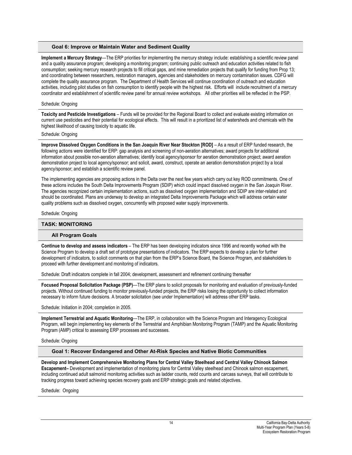#### **Goal 6: Improve or Maintain Water and Sediment Quality**

**Implement a Mercury Strategy**—The ERP priorities for implementing the mercury strategy include: establishing a scientific review panel and a quality assurance program; developing a monitoring program; continuing public outreach and education activities related to fish consumption; seeking mercury research projects to fill critical gaps, and mine remediation projects that qualify for funding from Prop 13; and coordinating between researchers, restoration managers, agencies and stakeholders on mercury contamination issues. CDFG will complete the quality assurance program. The Department of Health Services will continue coordination of outreach and education activities, including pilot studies on fish consumption to identify people with the highest risk. Efforts will include recruitment of a mercury coordinator and establishment of scientific review panel for annual review workshops. All other priorities will be reflected in the PSP.

#### Schedule: Ongoing

**Toxicity and Pesticide Investigations** – Funds will be provided for the Regional Board to collect and evaluate existing information on current use pesticides and their potential for ecological effects. This will result in a prioritized list of watersheds and chemicals with the highest likelihood of causing toxicity to aquatic life.

#### Schedule: Ongoing

**Improve Dissolved Oxygen Conditions in the San Joaquin River Near Stockton [ROD]** – As a result of ERP funded research, the following actions were identified for ERP: gap analysis and screening of non-aeration alternatives; award projects for additional information about possible non-aeration alternatives; identify local agency/sponsor for aeration demonstration project; award aeration demonstration project to local agency/sponsor; and solicit, award, construct, operate an aeration demonstration project by a local agency/sponsor; and establish a scientific review panel.

The implementing agencies are proposing actions in the Delta over the next few years which carry out key ROD commitments. One of these actions includes the South Delta Improvements Program (SDIP) which could impact dissolved oxygen in the San Joaquin River. The agencies recognized certain implementation actions, such as dissolved oxygen implementation and SDIP are inter-related and should be coordinated. Plans are underway to develop an integrated Delta Improvements Package which will address certain water quality problems such as dissolved oxygen, concurrently with proposed water supply improvements.

#### Schedule: Ongoing

#### **TASK: MONITORING**

#### **All Program Goals**

**Continue to develop and assess indicators** – The ERP has been developing indicators since 1996 and recently worked with the Science Program to develop a draft set of prototype presentations of indicators. The ERP expects to develop a plan for further development of indicators, to solicit comments on that plan from the ERP's Science Board, the Science Program, and stakeholders to proceed with further development and monitoring of indicators.

Schedule: Draft indicators complete in fall 2004; development, assessment and refinement continuing thereafter

**Focused Proposal Solicitation Package (PSP)**—The ERP plans to solicit proposals for monitoring and evaluation of previously-funded projects. Without continued funding to monitor previously-funded projects, the ERP risks losing the opportunity to collect information necessary to inform future decisions. A broader solicitation (see under Implementation) will address other ERP tasks.

Schedule: Initiation in 2004; completion in 2005.

**Implement Terrestrial and Aquatic Monitoring**—The ERP, in collaboration with the Science Program and Interagency Ecological Program, will begin implementing key elements of the Terrestrial and Amphibian Monitoring Program (TAMP) and the Aquatic Monitoring Program (AMP) critical to assessing ERP processes and successes.

#### Schedule: Ongoing

**Goal 1: Recover Endangered and Other At-Risk Species and Native Biotic Communities** 

**Develop and Implement Comprehensive Monitoring Plans for Central Valley Steelhead and Central Valley Chinook Salmon Escapement–** Development and implementation of monitoring plans for Central Valley steelhead and Chinook salmon escapement, including continued adult salmonid monitoring activities such as ladder counts, redd counts and carcass surveys, that will contribute to tracking progress toward achieving species recovery goals and ERP strategic goals and related objectives.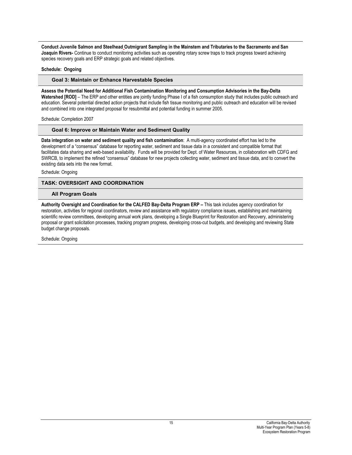**Conduct Juvenile Salmon and Steelhead Outmigrant Sampling in the Mainstem and Tributaries to the Sacramento and San Joaquin Rivers-** Continue to conduct monitoring activities such as operating rotary screw traps to track progress toward achieving species recovery goals and ERP strategic goals and related objectives.

#### **Schedule: Ongoing**

#### **Goal 3: Maintain or Enhance Harvestable Species**

**Assess the Potential Need for Additional Fish Contamination Monitoring and Consumption Advisories in the Bay-Delta Watershed [ROD]** – The ERP and other entities are jointly funding Phase I of a fish consumption study that includes public outreach and education. Several potential directed action projects that include fish tissue monitoring and public outreach and education will be revised and combined into one integrated proposal for resubmittal and potential funding in summer 2005.

Schedule: Completion 2007

#### **Goal 6: Improve or Maintain Water and Sediment Quality**

**Data integration on water and sediment quality and fish contamination**: A multi-agency coordinated effort has led to the development of a "consensus" database for reporting water, sediment and tissue data in a consistent and compatible format that facilitates data sharing and web-based availability. Funds will be provided for Dept. of Water Resources, in collaboration with CDFG and SWRCB, to implement the refined "consensus" database for new projects collecting water, sediment and tissue data, and to convert the existing data sets into the new format.

Schedule: Ongoing

#### **TASK: OVERSIGHT AND COORDINATION**

#### **All Program Goals**

**Authority Oversight and Coordination for the CALFED Bay-Delta Program ERP –** This task includes agency coordination for restoration, activities for regional coordinators, review and assistance with regulatory compliance issues, establishing and maintaining scientific review committees, developing annual work plans, developing a Single Blueprint for Restoration and Recovery, administering proposal or grant solicitation processes, tracking program progress, developing cross-cut budgets, and developing and reviewing State budget change proposals.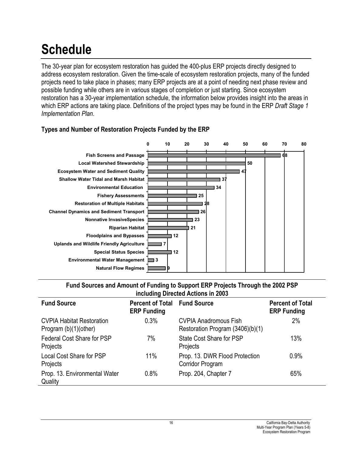# **Schedule**

The 30-year plan for ecosystem restoration has guided the 400-plus ERP projects directly designed to address ecosystem restoration. Given the time-scale of ecosystem restoration projects, many of the funded projects need to take place in phases; many ERP projects are at a point of needing next phase review and possible funding while others are in various stages of completion or just starting. Since ecosystem restoration has a 30-year implementation schedule, the information below provides insight into the areas in which ERP actions are taking place. Definitions of the project types may be found in the ERP *Draft Stage 1 Implementation Plan*.





## **Fund Sources and Amount of Funding to Support ERP Projects Through the 2002 PSP including Directed Actions in 2003**

| <b>Fund Source</b>                                        | <b>Percent of Total Fund Source</b><br><b>ERP Funding</b> |                                                                  | <b>Percent of Total</b><br><b>ERP Funding</b> |
|-----------------------------------------------------------|-----------------------------------------------------------|------------------------------------------------------------------|-----------------------------------------------|
| <b>CVPIA Habitat Restoration</b><br>Program (b)(1)(other) | 0.3%                                                      | <b>CVPIA Anadromous Fish</b><br>Restoration Program (3406)(b)(1) | 2%                                            |
| <b>Federal Cost Share for PSP</b><br>Projects             | 7%                                                        | State Cost Share for PSP<br>Projects                             | 13%                                           |
| Local Cost Share for PSP<br>Projects                      | 11%                                                       | Prop. 13. DWR Flood Protection<br>Corridor Program               | 0.9%                                          |
| Prop. 13. Environmental Water<br>Quality                  | 0.8%                                                      | Prop. 204, Chapter 7                                             | 65%                                           |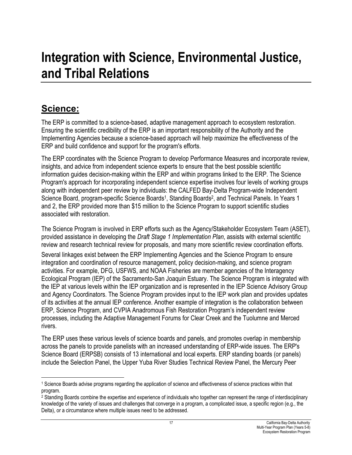# **Integration with Science, Environmental Justice, and Tribal Relations**

# **Science:**

The ERP is committed to a science-based, adaptive management approach to ecosystem restoration. Ensuring the scientific credibility of the ERP is an important responsibility of the Authority and the Implementing Agencies because a science-based approach will help maximize the effectiveness of the ERP and build confidence and support for the program's efforts.

The ERP coordinates with the Science Program to develop Performance Measures and incorporate review, insights, and advice from independent science experts to ensure that the best possible scientific information guides decision-making within the ERP and within programs linked to the ERP. The Science Program's approach for incorporating independent science expertise involves four levels of working groups along with independent peer review by individuals: the CALFED Bay-Delta Program-wide Independent Science Board, program-specific Science Boards<sup>1</sup>, Standing Boards<sup>2</sup>, and Technical Panels. In Years 1 and 2, the ERP provided more than \$15 million to the Science Program to support scientific studies associated with restoration.

The Science Program is involved in ERP efforts such as the Agency/Stakeholder Ecosystem Team (ASET), provided assistance in developing the *Draft Stage 1 Implementation Plan*, assists with external scientific review and research technical review for proposals, and many more scientific review coordination efforts.

Several linkages exist between the ERP Implementing Agencies and the Science Program to ensure integration and coordination of resource management, policy decision-making, and science program activities. For example, DFG, USFWS, and NOAA Fisheries are member agencies of the Interagency Ecological Program (IEP) of the Sacramento-San Joaquin Estuary. The Science Program is integrated with the IEP at various levels within the IEP organization and is represented in the IEP Science Advisory Group and Agency Coordinators. The Science Program provides input to the IEP work plan and provides updates of its activities at the annual IEP conference. Another example of integration is the collaboration between ERP, Science Program, and CVPIA Anadromous Fish Restoration Program's independent review processes, including the Adaptive Management Forums for Clear Creek and the Tuolumne and Merced rivers.

The ERP uses these various levels of science boards and panels, and promotes overlap in membership across the panels to provide panelists with an increased understanding of ERP-wide issues. The ERP's Science Board (ERPSB) consists of 13 international and local experts. ERP standing boards (or panels) include the Selection Panel, the Upper Yuba River Studies Technical Review Panel, the Mercury Peer

 $\overline{a}$ 1 Science Boards advise programs regarding the application of science and effectiveness of science practices within that program.

<sup>2</sup> Standing Boards combine the expertise and experience of individuals who together can represent the range of interdisciplinary knowledge of the variety of issues and challenges that converge in a program, a complicated issue, a specific region (e.g., the Delta), or a circumstance where multiple issues need to be addressed.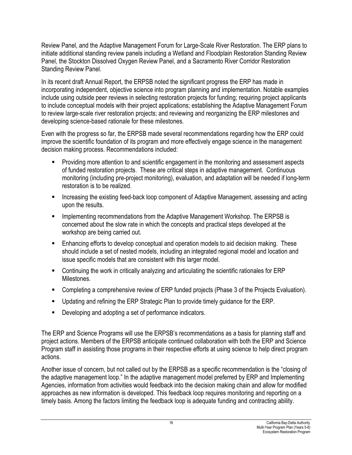Review Panel, and the Adaptive Management Forum for Large-Scale River Restoration. The ERP plans to initiate additional standing review panels including a Wetland and Floodplain Restoration Standing Review Panel, the Stockton Dissolved Oxygen Review Panel, and a Sacramento River Corridor Restoration Standing Review Panel.

In its recent draft Annual Report, the ERPSB noted the significant progress the ERP has made in incorporating independent, objective science into program planning and implementation. Notable examples include using outside peer reviews in selecting restoration projects for funding; requiring project applicants to include conceptual models with their project applications; establishing the Adaptive Management Forum to review large-scale river restoration projects; and reviewing and reorganizing the ERP milestones and developing science-based rationale for these milestones.

Even with the progress so far, the ERPSB made several recommendations regarding how the ERP could improve the scientific foundation of its program and more effectively engage science in the management decision making process. Recommendations included:

- **Providing more attention to and scientific engagement in the monitoring and assessment aspects** of funded restoration projects. These are critical steps in adaptive management. Continuous monitoring (including pre-project monitoring), evaluation, and adaptation will be needed if long-term restoration is to be realized.
- **Increasing the existing feed-back loop component of Adaptive Management, assessing and acting** upon the results.
- **IMPLEMENTIFY IMPLE THE COMMEDIATION IN ADAPT IS CONTINUES.** In the ERPS is concerned about the slow rate in which the concepts and practical steps developed at the workshop are being carried out.
- **Enhancing efforts to develop conceptual and operation models to aid decision making. These** should include a set of nested models, including an integrated regional model and location and issue specific models that are consistent with this larger model.
- Continuing the work in critically analyzing and articulating the scientific rationales for ERP Milestones.
- **Completing a comprehensive review of ERP funded projects (Phase 3 of the Projects Evaluation).**
- Updating and refining the ERP Strategic Plan to provide timely guidance for the ERP.
- **Developing and adopting a set of performance indicators.**

The ERP and Science Programs will use the ERPSB's recommendations as a basis for planning staff and project actions. Members of the ERPSB anticipate continued collaboration with both the ERP and Science Program staff in assisting those programs in their respective efforts at using science to help direct program actions.

Another issue of concern, but not called out by the ERPSB as a specific recommendation is the "closing of the adaptive management loop." In the adaptive management model preferred by ERP and Implementing Agencies, information from activities would feedback into the decision making chain and allow for modified approaches as new information is developed. This feedback loop requires monitoring and reporting on a timely basis. Among the factors limiting the feedback loop is adequate funding and contracting ability.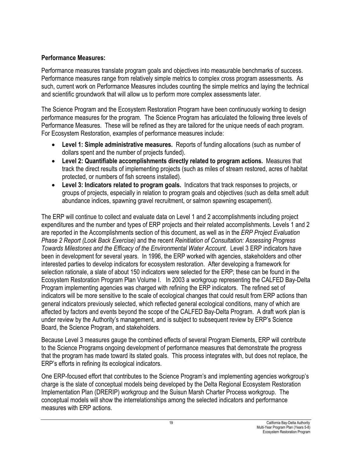## **Performance Measures:**

Performance measures translate program goals and objectives into measurable benchmarks of success. Performance measures range from relatively simple metrics to complex cross program assessments. As such, current work on Performance Measures includes counting the simple metrics and laying the technical and scientific groundwork that will allow us to perform more complex assessments later.

The Science Program and the Ecosystem Restoration Program have been continuously working to design performance measures for the program. The Science Program has articulated the following three levels of Performance Measures. These will be refined as they are tailored for the unique needs of each program. For Ecosystem Restoration, examples of performance measures include:

- **Level 1: Simple administrative measures.** Reports of funding allocations (such as number of dollars spent and the number of projects funded).
- x **Level 2: Quantifiable accomplishments directly related to program actions.** Measures that track the direct results of implementing projects (such as miles of stream restored, acres of habitat protected, or numbers of fish screens installed).
- x **Level 3: Indicators related to program goals.** Indicators that track responses to projects, or groups of projects, especially in relation to program goals and objectives (such as delta smelt adult abundance indices, spawning gravel recruitment, or salmon spawning escapement).

The ERP will continue to collect and evaluate data on Level 1 and 2 accomplishments including project expenditures and the number and types of ERP projects and their related accomplishments. Levels 1 and 2 are reported in the Accomplishments section of this document, as well as in the *ERP Project Evaluation Phase 2 Report (Look Back Exercise)* and the recent *Reinitiation of Consultation: Assessing Progress Towards Milestones and the Efficacy of the Environmental Water Account*. Level 3 ERP indicators have been in development for several years. In 1996, the ERP worked with agencies, stakeholders and other interested parties to develop indicators for ecosystem restoration. After developing a framework for selection rationale, a slate of about 150 indicators were selected for the ERP; these can be found in the Ecosystem Restoration Program Plan Volume I. In 2003 a workgroup representing the CALFED Bay-Delta Program implementing agencies was charged with refining the ERP indicators. The refined set of indicators will be more sensitive to the scale of ecological changes that could result from ERP actions than general indicators previously selected, which reflected general ecological conditions, many of which are affected by factors and events beyond the scope of the CALFED Bay-Delta Program. A draft work plan is under review by the Authority's management, and is subject to subsequent review by ERP's Science Board, the Science Program, and stakeholders.

Because Level 3 measures gauge the combined effects of several Program Elements, ERP will contribute to the Science Programs ongoing development of performance measures that demonstrate the progress that the program has made toward its stated goals. This process integrates with, but does not replace, the ERP's efforts in refining its ecological indicators.

One ERP-focused effort that contributes to the Science Program's and implementing agencies workgroup's charge is the slate of conceptual models being developed by the Delta Regional Ecosystem Restoration Implementation Plan (DRERIP) workgroup and the Suisun Marsh Charter Process workgroup. The conceptual models will show the interrelationships among the selected indicators and performance measures with ERP actions.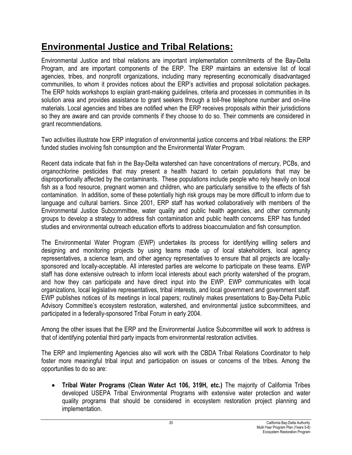# **Environmental Justice and Tribal Relations:**

Environmental Justice and tribal relations are important implementation commitments of the Bay-Delta Program, and are important components of the ERP. The ERP maintains an extensive list of local agencies, tribes, and nonprofit organizations, including many representing economically disadvantaged communities, to whom it provides notices about the ERP's activities and proposal solicitation packages. The ERP holds workshops to explain grant-making guidelines, criteria and processes in communities in its solution area and provides assistance to grant seekers through a toll-free telephone number and on-line materials. Local agencies and tribes are notified when the ERP receives proposals within their jurisdictions so they are aware and can provide comments if they choose to do so. Their comments are considered in grant recommendations.

Two activities illustrate how ERP integration of environmental justice concerns and tribal relations: the ERP funded studies involving fish consumption and the Environmental Water Program.

Recent data indicate that fish in the Bay-Delta watershed can have concentrations of mercury, PCBs, and organochlorine pesticides that may present a health hazard to certain populations that may be disproportionally affected by the contaminants. These populations include people who rely heavily on local fish as a food resource, pregnant women and children, who are particularly sensitive to the effects of fish contamination. In addition, some of these potentially high risk groups may be more difficult to inform due to language and cultural barriers. Since 2001, ERP staff has worked collaboratively with members of the Environmental Justice Subcommittee, water quality and public health agencies, and other community groups to develop a strategy to address fish contamination and public health concerns. ERP has funded studies and environmental outreach education efforts to address bioaccumulation and fish consumption.

The Environmental Water Program (EWP) undertakes its process for identifying willing sellers and designing and monitoring projects by using teams made up of local stakeholders, local agency representatives, a science team, and other agency representatives to ensure that all projects are locallysponsored and locally-acceptable. All interested parties are welcome to participate on these teams. EWP staff has done extensive outreach to inform local interests about each priority watershed of the program, and how they can participate and have direct input into the EWP. EWP communicates with local organizations, local legislative representatives, tribal interests, and local government and government staff. EWP publishes notices of its meetings in local papers; routinely makes presentations to Bay-Delta Public Advisory Committee's ecosystem restoration, watershed, and environmental justice subcommittees, and participated in a federally-sponsored Tribal Forum in early 2004.

Among the other issues that the ERP and the Environmental Justice Subcommittee will work to address is that of identifying potential third party impacts from environmental restoration activities.

The ERP and Implementing Agencies also will work with the CBDA Tribal Relations Coordinator to help foster more meaningful tribal input and participation on issues or concerns of the tribes. Among the opportunities to do so are:

• Tribal Water Programs (Clean Water Act 106, 319H, etc.) The majority of California Tribes developed USEPA Tribal Environmental Programs with extensive water protection and water quality programs that should be considered in ecosystem restoration project planning and implementation.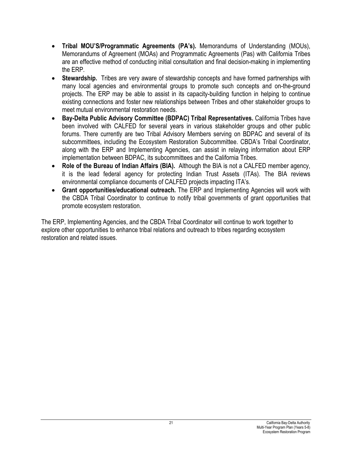- x **Tribal MOU'S/Programmatic Agreements (PA's).** Memorandums of Understanding (MOUs), Memorandums of Agreement (MOAs) and Programmatic Agreements (Pas) with California Tribes are an effective method of conducting initial consultation and final decision-making in implementing the ERP.
- **Stewardship.** Tribes are very aware of stewardship concepts and have formed partnerships with many local agencies and environmental groups to promote such concepts and on-the-ground projects. The ERP may be able to assist in its capacity-building function in helping to continue existing connections and foster new relationships between Tribes and other stakeholder groups to meet mutual environmental restoration needs.
- **Bay-Delta Public Advisory Committee (BDPAC) Tribal Representatives.** California Tribes have been involved with CALFED for several years in various stakeholder groups and other public forums. There currently are two Tribal Advisory Members serving on BDPAC and several of its subcommittees, including the Ecosystem Restoration Subcommittee. CBDA's Tribal Coordinator, along with the ERP and Implementing Agencies, can assist in relaying information about ERP implementation between BDPAC, its subcommittees and the California Tribes.
- Role of the Bureau of Indian Affairs (BIA). Although the BIA is not a CALFED member agency, it is the lead federal agency for protecting Indian Trust Assets (ITAs). The BIA reviews environmental compliance documents of CALFED projects impacting ITA's.
- **Grant opportunities/educational outreach.** The ERP and Implementing Agencies will work with the CBDA Tribal Coordinator to continue to notify tribal governments of grant opportunities that promote ecosystem restoration.

The ERP, Implementing Agencies, and the CBDA Tribal Coordinator will continue to work together to explore other opportunities to enhance tribal relations and outreach to tribes regarding ecosystem restoration and related issues.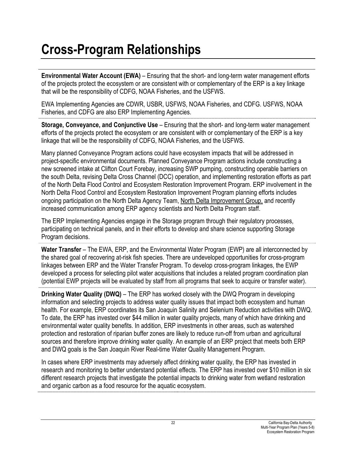# **Cross-Program Relationships**

**Environmental Water Account (EWA)** – Ensuring that the short- and long-term water management efforts of the projects protect the ecosystem or are consistent with or complementary of the ERP is a key linkage that will be the responsibility of CDFG, NOAA Fisheries, and the USFWS.

EWA Implementing Agencies are CDWR, USBR, USFWS, NOAA Fisheries, and CDFG. USFWS, NOAA Fisheries, and CDFG are also ERP Implementing Agencies.

**Storage, Conveyance, and Conjunctive Use** – Ensuring that the short- and long-term water management efforts of the projects protect the ecosystem or are consistent with or complementary of the ERP is a key linkage that will be the responsibility of CDFG, NOAA Fisheries, and the USFWS.

Many planned Conveyance Program actions could have ecosystem impacts that will be addressed in project-specific environmental documents. Planned Conveyance Program actions include constructing a new screened intake at Clifton Court Forebay, increasing SWP pumping, constructing operable barriers on the south Delta, revising Delta Cross Channel (DCC) operation, and implementing restoration efforts as part of the North Delta Flood Control and Ecosystem Restoration Improvement Program. ERP involvement in the North Delta Flood Control and Ecosystem Restoration Improvement Program planning efforts includes ongoing participation on the North Delta Agency Team, North Delta Improvement Group, and recently increased communication among ERP agency scientists and North Delta Program staff.

The ERP Implementing Agencies engage in the Storage program through their regulatory processes, participating on technical panels, and in their efforts to develop and share science supporting Storage Program decisions.

Water Transfer – The EWA, ERP, and the Environmental Water Program (EWP) are all interconnected by the shared goal of recovering at-risk fish species. There are undeveloped opportunities for cross-program linkages between ERP and the Water Transfer Program. To develop cross-program linkages, the EWP developed a process for selecting pilot water acquisitions that includes a related program coordination plan (potential EWP projects will be evaluated by staff from all programs that seek to acquire or transfer water).

**Drinking Water Quality (DWQ)** – The ERP has worked closely with the DWQ Program in developing information and selecting projects to address water quality issues that impact both ecosystem and human health. For example, ERP coordinates its San Joaquin Salinity and Selenium Reduction activities with DWQ. To date, the ERP has invested over \$44 million in water quality projects, many of which have drinking and environmental water quality benefits. In addition, ERP investments in other areas, such as watershed protection and restoration of riparian buffer zones are likely to reduce run-off from urban and agricultural sources and therefore improve drinking water quality. An example of an ERP project that meets both ERP and DWQ goals is the San Joaquin River Real-time Water Quality Management Program.

In cases where ERP investments may adversely affect drinking water quality, the ERP has invested in research and monitoring to better understand potential effects. The ERP has invested over \$10 million in six different research projects that investigate the potential impacts to drinking water from wetland restoration and organic carbon as a food resource for the aquatic ecosystem.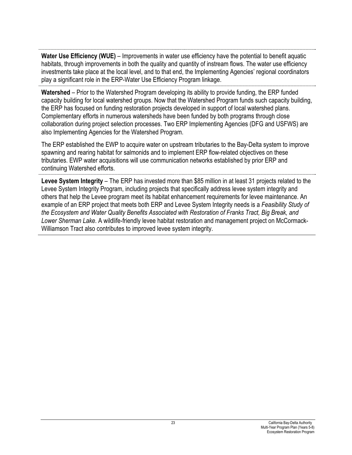**Water Use Efficiency (WUE)** – Improvements in water use efficiency have the potential to benefit aquatic habitats, through improvements in both the quality and quantity of instream flows. The water use efficiency investments take place at the local level, and to that end, the Implementing Agencies' regional coordinators play a significant role in the ERP-Water Use Efficiency Program linkage.

**Watershed** – Prior to the Watershed Program developing its ability to provide funding, the ERP funded capacity building for local watershed groups. Now that the Watershed Program funds such capacity building, the ERP has focused on funding restoration projects developed in support of local watershed plans. Complementary efforts in numerous watersheds have been funded by both programs through close collaboration during project selection processes. Two ERP Implementing Agencies (DFG and USFWS) are also Implementing Agencies for the Watershed Program.

The ERP established the EWP to acquire water on upstream tributaries to the Bay-Delta system to improve spawning and rearing habitat for salmonids and to implement ERP flow-related objectives on these tributaries. EWP water acquisitions will use communication networks established by prior ERP and continuing Watershed efforts.

**Levee System Integrity** – The ERP has invested more than \$85 million in at least 31 projects related to the Levee System Integrity Program, including projects that specifically address levee system integrity and others that help the Levee program meet its habitat enhancement requirements for levee maintenance. An example of an ERP project that meets both ERP and Levee System Integrity needs is a *Feasibility Study of the Ecosystem and Water Quality Benefits Associated with Restoration of Franks Tract, Big Break, and Lower Sherman Lake*. A wildlife-friendly levee habitat restoration and management project on McCormack-Williamson Tract also contributes to improved levee system integrity.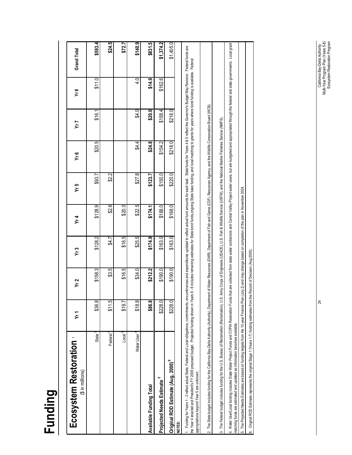| Ecosystem Restoration<br>$($ \$ in millions)                                                                                                                                                                                                                                                                                                                                                                                                                                                                            | )<br>አ  | Yr 2    | Yr3                                                                      | Yr4     | Yr 5    | ى<br>1<                                                                                                                 | Yr 7      | у. х    | Grand Total                                                                                                                                                                      |
|-------------------------------------------------------------------------------------------------------------------------------------------------------------------------------------------------------------------------------------------------------------------------------------------------------------------------------------------------------------------------------------------------------------------------------------------------------------------------------------------------------------------------|---------|---------|--------------------------------------------------------------------------|---------|---------|-------------------------------------------------------------------------------------------------------------------------|-----------|---------|----------------------------------------------------------------------------------------------------------------------------------------------------------------------------------|
| State $^{2}$                                                                                                                                                                                                                                                                                                                                                                                                                                                                                                            | \$36.8  | \$158.3 | \$128.2                                                                  | \$128.9 | \$93.7  | \$20.5                                                                                                                  | .<br>\$16 | \$11.0  | \$593.4                                                                                                                                                                          |
| Federal <sup>3</sup>                                                                                                                                                                                                                                                                                                                                                                                                                                                                                                    | \$11.5  | \$3.5   | \$4.7                                                                    | \$2.6   | \$2.2   |                                                                                                                         |           |         | \$24.5                                                                                                                                                                           |
| Local <sup>4</sup>                                                                                                                                                                                                                                                                                                                                                                                                                                                                                                      | \$19.7  | \$16.5  | \$16.5                                                                   | \$20.0  |         |                                                                                                                         |           |         | \$72.7                                                                                                                                                                           |
| Water User                                                                                                                                                                                                                                                                                                                                                                                                                                                                                                              | \$18.8  | \$34.0  | \$25.5                                                                   | \$22.5  | \$27.8  | \$4.4                                                                                                                   | \$4.0     | 4.0     | \$140.9                                                                                                                                                                          |
| Available Funding Total                                                                                                                                                                                                                                                                                                                                                                                                                                                                                                 | \$86.8  | \$212.2 | \$174.9                                                                  | \$174.1 | \$123.7 | \$24.8                                                                                                                  | \$20.0    | \$14.9  | r.<br>\$831.                                                                                                                                                                     |
| LO.<br><b>Projected Needs Estimate</b>                                                                                                                                                                                                                                                                                                                                                                                                                                                                                  | \$228.0 | \$190.0 | \$163.0                                                                  | \$168.0 | \$150.0 | \$154.2                                                                                                                 | \$158.4   | \$162.6 | \$1,374.2                                                                                                                                                                        |
| Original ROD Estimate (Aug, 2000) <sup>6</sup>                                                                                                                                                                                                                                                                                                                                                                                                                                                                          | \$228.0 | \$190.0 | \$163.0                                                                  | \$168.0 | \$220.0 | \$218.0                                                                                                                 | \$218.0   |         | \$1,405.0                                                                                                                                                                        |
| 1. Funding for Years 1-3 reflect actual State, Federal and Local obligations, commitments, encumbrances and expenditures updated to reflect addular fund amounts for each task. State funds 4 & 5 reflect the Governor's Budge<br>the Year 4 enacted and President's FY 2005 proposed budget. Projected Inning sthow in Years 6 - 8 includes remaining estimates for State bond Iundis, State base funding, and Incaching to grants for years where bond funding<br>appropriations beyond Year 5 are unknown.<br>NOTES: |         |         |                                                                          |         |         |                                                                                                                         |           |         |                                                                                                                                                                                  |
| 2. The State budget includes funding for the California Bay-Delta Authority (Authority), Department of Nexty, Department of Fish and Garne (CDF), Resources Agency, and the Wildlife Conservation Board (WCB)                                                                                                                                                                                                                                                                                                           |         |         |                                                                          |         |         |                                                                                                                         |           |         |                                                                                                                                                                                  |
| 3. The Federal budget includes funding for the U.S. Bureau of Reclamation (Reclamation), U.S.                                                                                                                                                                                                                                                                                                                                                                                                                           |         |         |                                                                          |         |         | Army Corps of Engineers (USACE), U.S. Fish & Wildlife Service (USFW), and the National Marine Fisheries Service (NMFS). |           |         |                                                                                                                                                                                  |
| 4. Water User/Local funding includes State Water Project Funds and CVPIA Restoration Funds<br>matching funds are estimated and updated as information becomes available.                                                                                                                                                                                                                                                                                                                                                |         |         |                                                                          |         |         |                                                                                                                         |           |         | that are collected from state water contractors and Central Valley Project water users, but are budgeted and appropriated through the federal and state governments. Local grant |
| 5. The Projected Needs Estimates are based on funding targets from the 10-year Finance Plan                                                                                                                                                                                                                                                                                                                                                                                                                             |         |         | July 2) and may change based on completion of the plan in November 2004. |         |         |                                                                                                                         |           |         |                                                                                                                                                                                  |
| Original ROD Estimate represents the original Stage 1 (Years 1-7) funding estimates from the Record of Decision (Aug 2000).<br><u>نه</u>                                                                                                                                                                                                                                                                                                                                                                                |         |         |                                                                          |         |         |                                                                                                                         |           |         |                                                                                                                                                                                  |
|                                                                                                                                                                                                                                                                                                                                                                                                                                                                                                                         |         |         |                                                                          |         |         |                                                                                                                         |           |         |                                                                                                                                                                                  |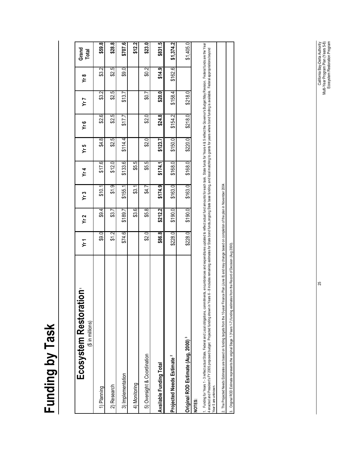# Funding by Task **Funding by Task**

| غ<br>Ecosystem Restoratio<br>(\$ in millions)                                                                                                                                                                                                                                                                                                                                                                                                                                                                                                            | Yr1      | Yr2     | Yr3     | Yr4     | Yr5     | Ϋ́r 6   | Yr 7          | ٧r 8          | Grand<br>Total |
|----------------------------------------------------------------------------------------------------------------------------------------------------------------------------------------------------------------------------------------------------------------------------------------------------------------------------------------------------------------------------------------------------------------------------------------------------------------------------------------------------------------------------------------------------------|----------|---------|---------|---------|---------|---------|---------------|---------------|----------------|
| 1) Planning                                                                                                                                                                                                                                                                                                                                                                                                                                                                                                                                              | \$9.0    | \$9.4   | \$10.1  | \$17.6  | \$4.8   | \$2.6   | $\frac{2}{3}$ | $\frac{2}{3}$ | \$59.8         |
| 2) Research                                                                                                                                                                                                                                                                                                                                                                                                                                                                                                                                              | চ্য<br>চ | \$3.7   | \$1.9   | \$12.0  | \$2.5   | \$2.5   | \$2.5         | \$2.5         | \$28.8         |
| 3) Implementation                                                                                                                                                                                                                                                                                                                                                                                                                                                                                                                                        | \$74.6   | \$189.7 | \$155.  | \$133.6 | \$114.4 | 517.7   | \$13.7        | 69.0          | \$707.6        |
| 4) Monitoring                                                                                                                                                                                                                                                                                                                                                                                                                                                                                                                                            |          | \$3.6   | \$3.1   | \$5.5   |         |         |               |               | \$12.2         |
| 5) Oversight & Coordination                                                                                                                                                                                                                                                                                                                                                                                                                                                                                                                              | \$2.0    | \$5.8   | \$4.7   | \$5.5   | \$2.0   | \$2.0   | \$0.7         | $\frac{2}{3}$ | \$23.0         |
| <b>Available Funding Total</b>                                                                                                                                                                                                                                                                                                                                                                                                                                                                                                                           | \$86.8   | \$212.2 | \$174.9 | \$174.1 | \$123.7 | \$24.8  | \$20.0]       | \$14.9        | \$831.5        |
| Projected Needs Estimate <sup>2</sup>                                                                                                                                                                                                                                                                                                                                                                                                                                                                                                                    | \$228.0  | \$190.0 | \$163.0 | \$168.0 | \$150.0 | \$154.2 | \$158.4       | \$162.6       | \$1,374.2      |
| Original ROD Estimate (Aug, 2000) <sup>3</sup>                                                                                                                                                                                                                                                                                                                                                                                                                                                                                                           | \$228.0  | \$190.0 | \$163.0 | \$168.0 | \$220.0 | \$218.0 | \$218.0       |               | \$1,405.0      |
| . Funding for Years 1 - 3 reflect actual State, Federal and Local obligations, commitments, encumbrances and expoed to flect actual funds and untis for ears and for Years 4 & 5 reflect the Governor's Budget May Revision. F<br>.6 - 8 includes remaining estimates for State bond funds,ongoing State base funding, and local matching to grants for years where bond funding is available. Federal appropriations beyond<br>enacted and President's FY 2005 proposed budget. Projected funding shown in Years<br>ear 5 are unknown.<br><b>NOTES:</b> |          |         |         |         |         |         |               |               |                |
| 2. The Projected Needs Estimates are based on funding targets from the 10-year Finance Plan (June 8) and may change based on completion of the plan in November 2004.                                                                                                                                                                                                                                                                                                                                                                                    |          |         |         |         |         |         |               |               |                |

California Bay-Delta Authority<br>Multi-Year Program Plan (Years 5-8)<br>Ecosystem Restoration Program Multi-Year Program Plan (Years 5-8) 25 California Bay-Delta Authority Ecosystem Restoration Program

3. Original ROD Estimate represents the original Stage 1 (Years 1-7) funding estimates from the Record of Decision (Aug 2000).

3. Original ROD Estimate represents the original Stage 1 (Years 1-7) funding estimates from the Record of Decision (Aug 2000).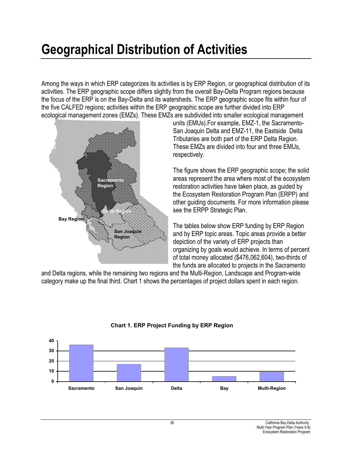# **Geographical Distribution of Activities**

Among the ways in which ERP categorizes its activities is by ERP Region, or geographical distribution of its activities. The ERP geographic scope differs slightly from the overall Bay-Delta Program regions because the focus of the ERP is on the Bay-Delta and its watersheds. The ERP geographic scope fits within four of the five CALFED regions; activities within the ERP geographic scope are further divided into ERP ecological management zones (EMZs). These EMZs are subdivided into smaller ecological management



units (EMUs).For example, EMZ-1, the Sacramento-San Joaquin Delta and EMZ-11, the Eastside Delta Tributaries are both part of the ERP Delta Region. These EMZs are divided into four and three EMUs, respectively.

The figure shows the ERP geographic scope; the solid areas represent the area where most of the ecosystem restoration activities have taken place, as guided by the Ecosystem Restoration Program Plan (ERPP) and other guiding documents. For more information please see the ERPP Strategic Plan.

The tables below show ERP funding by ERP Region and by ERP topic areas. Topic areas provide a better depiction of the variety of ERP projects than organizing by goals would achieve. In terms of percent of total money allocated (\$476,062,604), two-thirds of the funds are allocated to projects in the Sacramento

and Delta regions, while the remaining two regions and the Multi-Region, Landscape and Program-wide category make up the final third. Chart 1 shows the percentages of project dollars spent in each region.



## **Chart 1. ERP Project Funding by ERP Region**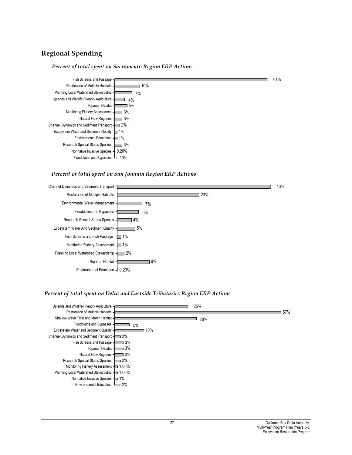## **Regional Spending**

#### *Percent of total spent on Sacramento Region ERP Actions*



#### *Percent of total spent on San Joaquin Region ERP Actions*



#### *Percent of total spent on Delta and Eastside Tributaries Region ERP Actions*